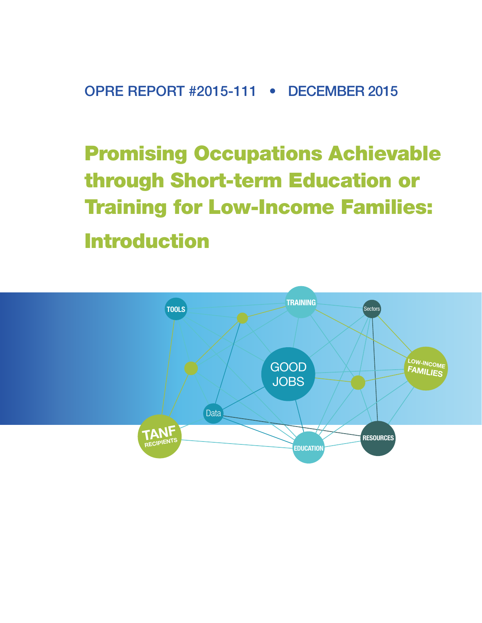OPRE REPORT #2015-111 • DECEMBER 2015

Promising Occupations Achievable through Short-term Education or Training for Low-Income Families: Introduction

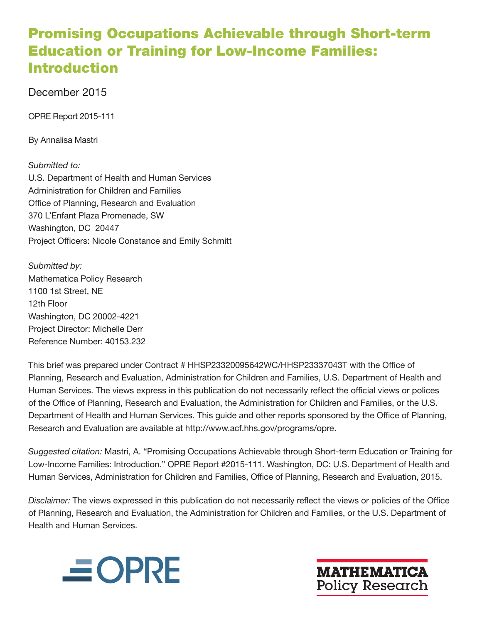# Promising Occupations Achievable through Short-term Education or Training for Low-Income Families: Introduction

## December 2015

OPRE Report 2015-111

By Annalisa Mastri

## *Submitted to:*

U.S. Department of Health and Human Services Administration for Children and Families Office of Planning, Research and Evaluation 370 L'Enfant Plaza Promenade, SW Washington, DC 20447 Project Officers: Nicole Constance and Emily Schmitt

*Submitted by:*  Mathematica Policy Research 1100 1st Street, NE 12th Floor Washington, DC 20002-4221 Project Director: Michelle Derr Reference Number: 40153.232

This brief was prepared under Contract # HHSP23320095642WC/HHSP23337043T with the Office of Planning, Research and Evaluation, Administration for Children and Families, U.S. Department of Health and Human Services. The views express in this publication do not necessarily reflect the official views or polices of the Office of Planning, Research and Evaluation, the Administration for Children and Families, or the U.S. Department of Health and Human Services. This guide and other reports sponsored by the Office of Planning, Research and Evaluation are available at [http://www.acf.hhs.gov/programs/opre.](http://www.acf.hhs.gov/programs/opre)

*Suggested citation:* Mastri, A. "Promising Occupations Achievable through Short-term Education or Training for Low-Income Families: Introduction." OPRE Report #2015-111. Washington, DC: U.S. Department of Health and Human Services, Administration for Children and Families, Office of Planning, Research and Evaluation, 2015.

*Disclaimer:* The views expressed in this publication do not necessarily reflect the views or policies of the Office of Planning, Research and Evaluation, the Administration for Children and Families, or the U.S. Department of Health and Human Services.



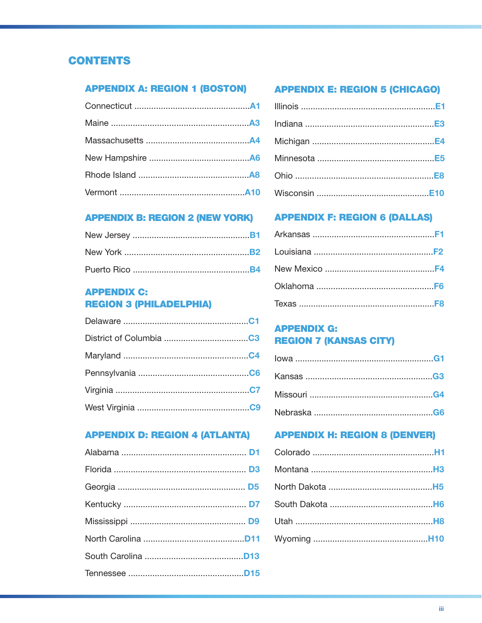## **CONTENTS**

## **APPENDIX A: REGION 1 (BOSTON) APPENDIX E: REGION 5 (CHICAGO)**

## **APPENDIX C: REGION 3 (PHILADELPHIA)**

### **APPENDIX D: REGION 4 (ATLANTA) APPENDIX H: REGION 8 (DENVER)**

## **APPENDIX B: REGION 2 (NEW YORK) APPENDIX F: REGION 6 (DALLAS)**

## **APPENDIX G: REGION 7 (KANSAS CITY)**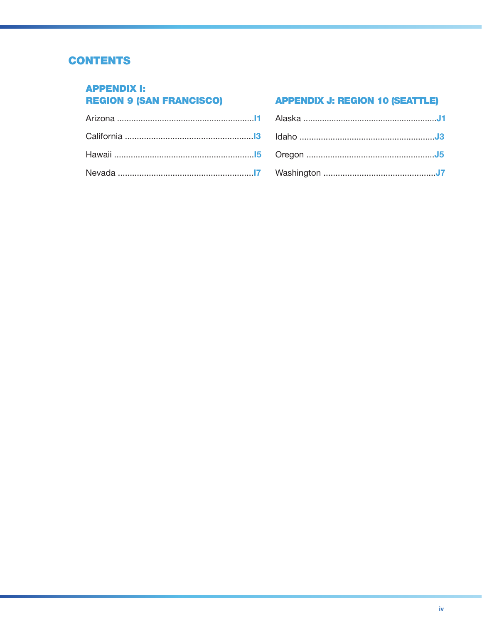## **CONTENTS**

### **APPENDIX I: REGION 9 (SAN FRANCISCO)**

## **APPENDIX J: REGION 10 (SEATTLE)**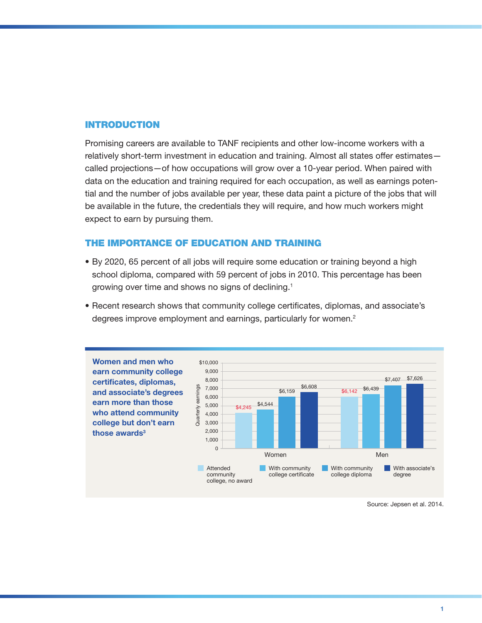#### INTRODUCTION

Promising careers are available to TANF recipients and other low-income workers with a relatively short-term investment in education and training. Almost all states offer estimates called projections—of how occupations will grow over a 10-year period. When paired with data on the education and training required for each occupation, as well as earnings potential and the number of jobs available per year, these data paint a picture of the jobs that will be available in the future, the credentials they will require, and how much workers might expect to earn by pursuing them.

#### THE IMPORTANCE OF EDUCATION AND TRAINING

- By 2020, 65 percent of all jobs will require some education or training beyond a high school diploma, compared with 59 percent of jobs in 2010. This percentage has been growing over time and shows no signs of declining.1
- Recent research shows that community college certificates, diplomas, and associate's degrees improve employment and earnings, particularly for women.<sup>2</sup>



Source: Jepsen et al. 2014.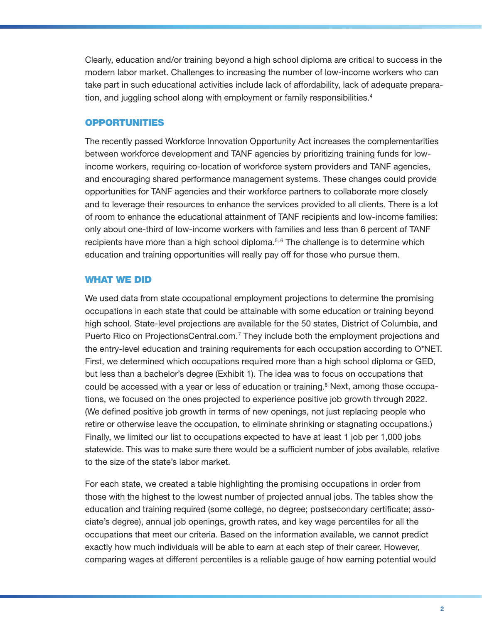Clearly, education and/or training beyond a high school diploma are critical to success in the modern labor market. Challenges to increasing the number of low-income workers who can take part in such educational activities include lack of affordability, lack of adequate preparation, and juggling school along with employment or family responsibilities.<sup>4</sup>

#### OPPORTUNITIES

The recently passed Workforce Innovation Opportunity Act increases the complementarities between workforce development and TANF agencies by prioritizing training funds for lowincome workers, requiring co-location of workforce system providers and TANF agencies, and encouraging shared performance management systems. These changes could provide opportunities for TANF agencies and their workforce partners to collaborate more closely and to leverage their resources to enhance the services provided to all clients. There is a lot of room to enhance the educational attainment of TANF recipients and low-income families: only about one-third of low-income workers with families and less than 6 percent of TANF recipients have more than a high school diploma. $5, 6$  The challenge is to determine which education and training opportunities will really pay off for those who pursue them.

#### WHAT WE DID

We used data from state occupational employment projections to determine the promising occupations in each state that could be attainable with some education or training beyond high school. State-level projections are available for the 50 states, District of Columbia, and Puerto Rico on<ProjectionsCentral.com>.<sup>7</sup> They include both the employment projections and the entry-level education and training requirements for each occupation according to O\*NET. First, we determined which occupations required more than a high school diploma or GED, but less than a bachelor's degree (Exhibit 1). The idea was to focus on occupations that could be accessed with a year or less of education or training.<sup>8</sup> Next, among those occupations, we focused on the ones projected to experience positive job growth through 2022. (We defined positive job growth in terms of new openings, not just replacing people who retire or otherwise leave the occupation, to eliminate shrinking or stagnating occupations.) Finally, we limited our list to occupations expected to have at least 1 job per 1,000 jobs statewide. This was to make sure there would be a sufficient number of jobs available, relative to the size of the state's labor market.

For each state, we created a table highlighting the promising occupations in order from those with the highest to the lowest number of projected annual jobs. The tables show the education and training required (some college, no degree; postsecondary certificate; associate's degree), annual job openings, growth rates, and key wage percentiles for all the occupations that meet our criteria. Based on the information available, we cannot predict exactly how much individuals will be able to earn at each step of their career. However, comparing wages at different percentiles is a reliable gauge of how earning potential would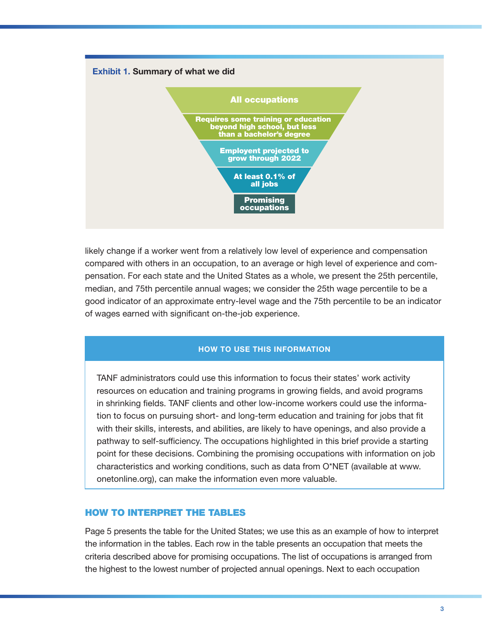

likely change if a worker went from a relatively low level of experience and compensation compared with others in an occupation, to an average or high level of experience and compensation. For each state and the United States as a whole, we present the 25th percentile, median, and 75th percentile annual wages; we consider the 25th wage percentile to be a good indicator of an approximate entry-level wage and the 75th percentile to be an indicator of wages earned with significant on-the-job experience.

#### HOW TO USE THIS INFORMATION

TANF administrators could use this information to focus their states' work activity resources on education and training programs in growing fields, and avoid programs in shrinking fields. TANF clients and other low-income workers could use the information to focus on pursuing short- and long-term education and training for jobs that fit with their skills, interests, and abilities, are likely to have openings, and also provide a pathway to self-sufficiency. The occupations highlighted in this brief provide a starting point for these decisions. Combining the promising occupations with information on job characteristics and working conditions, such as data from O\*NET (available at www. onetonline.org), can make the information even more valuable.

#### HOW TO INTERPRET THE TABLES

Page 5 presents the table for the United States; we use this as an example of how to interpret the information in the tables. Each row in the table presents an occupation that meets the criteria described above for promising occupations. The list of occupations is arranged from the highest to the lowest number of projected annual openings. Next to each occupation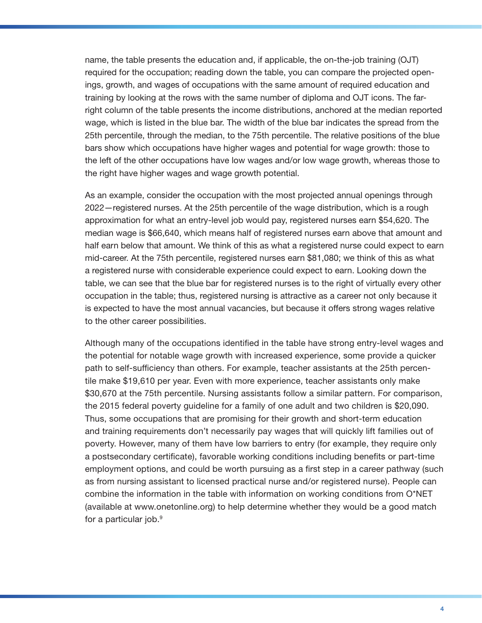name, the table presents the education and, if applicable, the on-the-job training (OJT) required for the occupation; reading down the table, you can compare the projected openings, growth, and wages of occupations with the same amount of required education and training by looking at the rows with the same number of diploma and OJT icons. The farright column of the table presents the income distributions, anchored at the median reported wage, which is listed in the blue bar. The width of the blue bar indicates the spread from the 25th percentile, through the median, to the 75th percentile. The relative positions of the blue bars show which occupations have higher wages and potential for wage growth: those to the left of the other occupations have low wages and/or low wage growth, whereas those to the right have higher wages and wage growth potential.

As an example, consider the occupation with the most projected annual openings through 2022—registered nurses. At the 25th percentile of the wage distribution, which is a rough approximation for what an entry-level job would pay, registered nurses earn \$54,620. The median wage is \$66,640, which means half of registered nurses earn above that amount and half earn below that amount. We think of this as what a registered nurse could expect to earn mid-career. At the 75th percentile, registered nurses earn \$81,080; we think of this as what a registered nurse with considerable experience could expect to earn. Looking down the table, we can see that the blue bar for registered nurses is to the right of virtually every other occupation in the table; thus, registered nursing is attractive as a career not only because it is expected to have the most annual vacancies, but because it offers strong wages relative to the other career possibilities.

Although many of the occupations identified in the table have strong entry-level wages and the potential for notable wage growth with increased experience, some provide a quicker path to self-sufficiency than others. For example, teacher assistants at the 25th percentile make \$19,610 per year. Even with more experience, teacher assistants only make \$30,670 at the 75th percentile. Nursing assistants follow a similar pattern. For comparison, the 2015 federal poverty guideline for a family of one adult and two children is \$20,090. Thus, some occupations that are promising for their growth and short-term education and training requirements don't necessarily pay wages that will quickly lift families out of poverty. However, many of them have low barriers to entry (for example, they require only a postsecondary certificate), favorable working conditions including benefits or part-time employment options, and could be worth pursuing as a first step in a career pathway (such as from nursing assistant to licensed practical nurse and/or registered nurse). People can combine the information in the table with information on working conditions from O\*NET (available at www.onetonline.org) to help determine whether they would be a good match for a particular job.<sup>9</sup>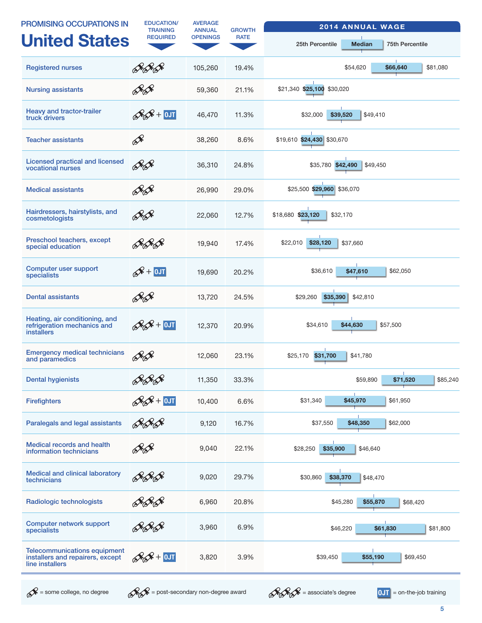| <b>PROMISING OCCUPATIONS IN</b>                                                            | <b>EDUCATION/</b><br><b>TRAINING</b> | <b>AVERAGE</b><br><b>ANNUAL</b> | <b>GROWTH</b> | <b>2014 ANNUAL WAGE</b>                                    |
|--------------------------------------------------------------------------------------------|--------------------------------------|---------------------------------|---------------|------------------------------------------------------------|
| <b>United States</b>                                                                       | <b>REQUIRED</b>                      | <b>OPENINGS</b>                 | <b>RATE</b>   | <b>Median</b><br><b>75th Percentile</b><br>25th Percentile |
| <b>Registered nurses</b>                                                                   | ÞF Þ                                 | 105,260                         | 19.4%         | \$54,620<br>\$66,640<br>\$81,080                           |
| <b>Nursing assistants</b>                                                                  | $\mathscr{A} \mathscr{A}$            | 59,360                          | 21.1%         | \$21,340 \$25,100 \$30,020                                 |
| Heavy and tractor-trailer<br>truck drivers                                                 | $\mathcal{R}$ $\mathcal{R}$ + 0JT    | 46,470                          | 11.3%         | \$32,000<br>\$39,520<br>\$49,410                           |
| <b>Teacher assistants</b>                                                                  | Ê                                    | 38,260                          | 8.6%          | \$19,610 \$24,430 \$30,670                                 |
| <b>Licensed practical and licensed</b><br>vocational nurses                                | <b>RA</b>                            | 36,310                          | 24.8%         | \$35,780 \$42,490<br>\$49,450                              |
| <b>Medical assistants</b>                                                                  | ÞA                                   | 26,990                          | 29.0%         | \$25,500 \$29,960 \$36,070                                 |
| Hairdressers, hairstylists, and<br>cosmetologists                                          |                                      | 22,060                          | 12.7%         | \$18,680 \$23,120<br>\$32,170                              |
| Preschool teachers, except<br>special education                                            |                                      | 19,940                          | 17.4%         | \$28,120<br>\$22,010<br>\$37,660                           |
| Computer user support<br>specialists                                                       | $\mathcal{R}$ + OJT                  | 19,690                          | 20.2%         | \$36,610<br>\$62,050<br>\$47,610                           |
| <b>Dental assistants</b>                                                                   | <u> ÞS</u>                           | 13,720                          | 24.5%         | \$29,260<br>\$35,390<br>\$42,810                           |
| Heating, air conditioning, and<br>refrigeration mechanics and<br><b>installers</b>         | $\mathscr{R}$ + OJT                  | 12,370                          | 20.9%         | \$34,610<br>\$44,630<br>\$57,500                           |
| <b>Emergency medical technicians</b><br>and paramedics                                     |                                      | 12,060                          | 23.1%         | \$31,700<br>\$25,170<br>\$41,780                           |
| <b>Dental hygienists</b>                                                                   |                                      | 11,350                          | 33.3%         | -11<br>\$59,890<br>\$85,240<br>\$71,520                    |
| <b>Firefighters</b>                                                                        | $\frac{2}{2}$ + 0JT                  | 10,400                          | 6.6%          | \$31,340<br>\$45,970<br>\$61,950                           |
| Paralegals and legal assistants                                                            | <u>AFS</u>                           | 9,120                           | 16.7%         | \$48,350<br>\$37,550<br>\$62,000                           |
| Medical records and health<br>information technicians                                      |                                      | 9,040                           | 22.1%         | \$35,900<br>\$46,640<br>\$28,250                           |
| <b>Medical and clinical laboratory</b><br>technicians                                      |                                      | 9,020                           | 29.7%         | \$38,370<br>\$30,860<br>\$48,470                           |
| Radiologic technologists                                                                   |                                      | 6,960                           | 20.8%         | \$45,280<br>\$55,870<br>\$68,420                           |
| <b>Computer network support</b><br>specialists                                             |                                      | 3,960                           | 6.9%          | \$81,800<br>\$46,220<br>\$61,830                           |
| <b>Telecommunications equipment</b><br>installers and repairers, except<br>line installers | $\&$ + $\sqrt{0}$                    | 3,820                           | 3.9%          | \$39,450<br>\$55,190<br>\$69,450                           |



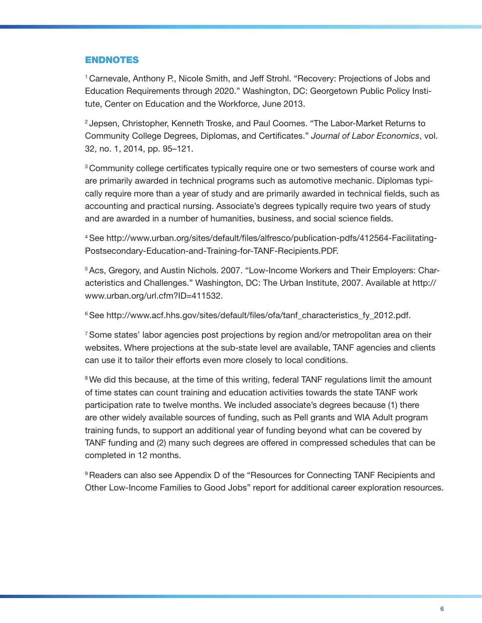#### ENDNOTES

1 Carnevale, Anthony P., Nicole Smith, and Jeff Strohl. "Recovery: Projections of Jobs and Education Requirements through 2020." Washington, DC: Georgetown Public Policy Institute, Center on Education and the Workforce, June 2013.

2 Jepsen, Christopher, Kenneth Troske, and Paul Coomes. "The Labor-Market Returns to Community College Degrees, Diplomas, and Certificates." *Journal of Labor Economics*, vol. 32, no. 1, 2014, pp. 95–121.

<sup>3</sup> Community college certificates typically require one or two semesters of course work and are primarily awarded in technical programs such as automotive mechanic. Diplomas typically require more than a year of study and are primarily awarded in technical fields, such as accounting and practical nursing. Associate's degrees typically require two years of study and are awarded in a number of humanities, business, and social science fields.

4 See [http://www.urban.org/sites/default/files/alfresco/publication-pdfs/412564-Facilitating-](http://www.urban.org/sites/default/files/alfresco/publication-pdfs/412564-Facilitating-Postsecondary-Education-and-Training-for-TANF-Recipients.PDF)[Postsecondary-Education-and-Training-for-TANF-Recipients.PDF](http://www.urban.org/sites/default/files/alfresco/publication-pdfs/412564-Facilitating-Postsecondary-Education-and-Training-for-TANF-Recipients.PDF).

5 Acs, Gregory, and Austin Nichols. 2007. "Low-Income Workers and Their Employers: Characteristics and Challenges." Washington, DC: The Urban Institute, 2007. Available at [http://](http://www.urban.org/url.cfm?ID=411532) [www.urban.org/url.cfm?ID=411532](http://www.urban.org/url.cfm?ID=411532).

<sup>6</sup> See [http://www.acf.hhs.gov/sites/default/files/ofa/tanf\\_characteristics\\_fy\\_2012.pdf](http://www.acf.hhs.gov/sites/default/files/ofa/tanf_characteristics_fy_2012.pdf).

7 Some states' labor agencies post projections by region and/or metropolitan area on their websites. Where projections at the sub-state level are available, TANF agencies and clients can use it to tailor their efforts even more closely to local conditions.

<sup>8</sup> We did this because, at the time of this writing, federal TANF regulations limit the amount of time states can count training and education activities towards the state TANF work participation rate to twelve months. We included associate's degrees because (1) there are other widely available sources of funding, such as Pell grants and WIA Adult program training funds, to support an additional year of funding beyond what can be covered by TANF funding and (2) many such degrees are offered in compressed schedules that can be completed in 12 months.

9 Readers can also see Appendix D of the "Resources for Connecting TANF Recipients and Other Low-Income Families to Good Jobs" report for additional career exploration resources.